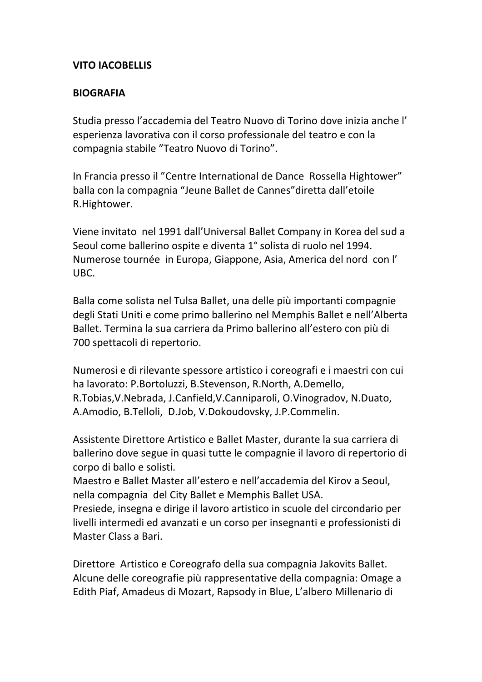## **VITO IACOBELLIS**

## **BIOGRAFIA**

Studia presso l'accademia del Teatro Nuovo di Torino dove inizia anche l' esperienza lavorativa con il corso professionale del teatro e con la compagnia stabile "Teatro Nuovo di Torino".

In Francia presso il "Centre International de Dance Rossella Hightower" balla con la compagnia "Jeune Ballet de Cannes"diretta dall'etoile R.Hightower.

Viene invitato nel 1991 dall'Universal Ballet Company in Korea del sud a Seoul come ballerino ospite e diventa 1° solista di ruolo nel 1994. Numerose tournée in Europa, Giappone, Asia, America del nord con l' UBC.

Balla come solista nel Tulsa Ballet, una delle più importanti compagnie degli Stati Uniti e come primo ballerino nel Memphis Ballet e nell'Alberta Ballet. Termina la sua carriera da Primo ballerino all'estero con più di 700 spettacoli di repertorio.

Numerosi e di rilevante spessore artistico i coreografi e i maestri con cui ha lavorato: P.Bortoluzzi, B.Stevenson, R.North, A.Demello, R.Tobias,V.Nebrada, J.Canfield,V.Canniparoli, O.Vinogradov, N.Duato, A.Amodio, B.Telloli, D.Job, V.Dokoudovsky, J.P.Commelin.

Assistente Direttore Artistico e Ballet Master, durante la sua carriera di ballerino dove segue in quasi tutte le compagnie il lavoro di repertorio di corpo di ballo e solisti.

Maestro e Ballet Master all'estero e nell'accademia del Kirov a Seoul, nella compagnia del City Ballet e Memphis Ballet USA.

Presiede, insegna e dirige il lavoro artistico in scuole del circondario per livelli intermedi ed avanzati e un corso per insegnanti e professionisti di Master Class a Bari.

Direttore Artistico e Coreografo della sua compagnia Jakovits Ballet. Alcune delle coreografie più rappresentative della compagnia: Omage a Edith Piaf, Amadeus di Mozart, Rapsody in Blue, L'albero Millenario di